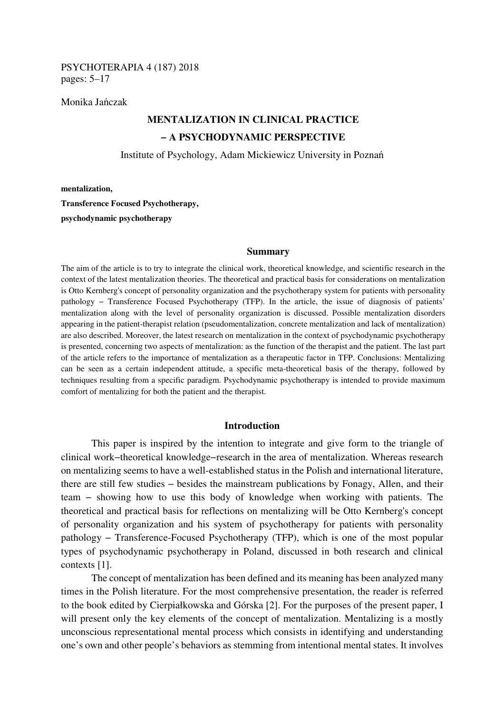## PSYCHOTERAPIA 4 (187) 2018 pages: 5–17

Monika Jańczak

# **MENTALIZATION IN CLINICAL PRACTICE − A PSYCHODYNAMIC PERSPECTIVE**

Institute of Psychology, Adam Mickiewicz University in Poznań

**mentalization,** 

**Transference Focused Psychotherapy, psychodynamic psychotherapy** 

#### **Summary**

The aim of the article is to try to integrate the clinical work, theoretical knowledge, and scientific research in the context of the latest mentalization theories. The theoretical and practical basis for considerations on mentalization is Otto Kernberg's concept of personality organization and the psychotherapy system for patients with personality pathology – Transference Focused Psychotherapy (TFP). In the article, the issue of diagnosis of patients' mentalization along with the level of personality organization is discussed. Possible mentalization disorders appearing in the patient-therapist relation (pseudomentalization, concrete mentalization and lack of mentalization) are also described. Moreover, the latest research on mentalization in the context of psychodynamic psychotherapy is presented, concerning two aspects of mentalization: as the function of the therapist and the patient. The last part of the article refers to the importance of mentalization as a therapeutic factor in TFP. Conclusions: Mentalizing can be seen as a certain independent attitude, a specific meta-theoretical basis of the therapy, followed by techniques resulting from a specific paradigm. Psychodynamic psychotherapy is intended to provide maximum comfort of mentalizing for both the patient and the therapist.

## **Introduction**

This paper is inspired by the intention to integrate and give form to the triangle of clinical work−theoretical knowledge−research in the area of mentalization. Whereas research on mentalizing seems to have a well-established status in the Polish and international literature, there are still few studies − besides the mainstream publications by Fonagy, Allen, and their team − showing how to use this body of knowledge when working with patients. The theoretical and practical basis for reflections on mentalizing will be Otto Kernberg's concept of personality organization and his system of psychotherapy for patients with personality pathology − Transference-Focused Psychotherapy (TFP), which is one of the most popular types of psychodynamic psychotherapy in Poland, discussed in both research and clinical contexts [1].

The concept of mentalization has been defined and its meaning has been analyzed many times in the Polish literature. For the most comprehensive presentation, the reader is referred to the book edited by Cierpiałkowska and Górska [2]. For the purposes of the present paper, I will present only the key elements of the concept of mentalization. Mentalizing is a mostly unconscious representational mental process which consists in identifying and understanding one's own and other people's behaviors as stemming from intentional mental states. It involves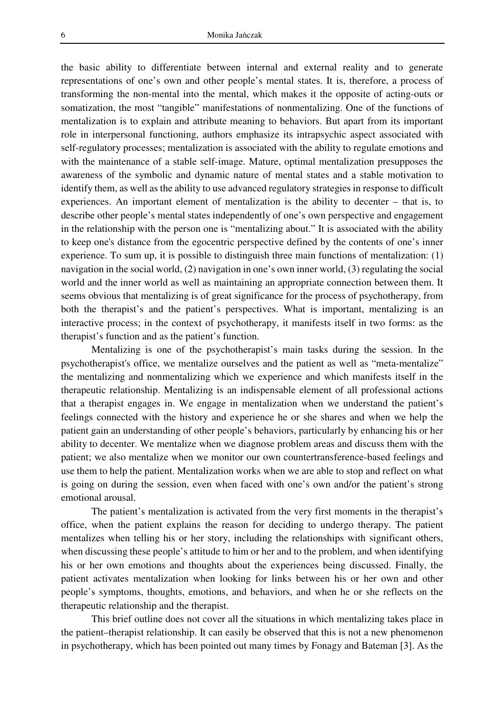the basic ability to differentiate between internal and external reality and to generate representations of one's own and other people's mental states. It is, therefore, a process of transforming the non-mental into the mental, which makes it the opposite of acting-outs or somatization, the most "tangible" manifestations of nonmentalizing. One of the functions of mentalization is to explain and attribute meaning to behaviors. But apart from its important role in interpersonal functioning, authors emphasize its intrapsychic aspect associated with self-regulatory processes; mentalization is associated with the ability to regulate emotions and with the maintenance of a stable self-image. Mature, optimal mentalization presupposes the awareness of the symbolic and dynamic nature of mental states and a stable motivation to identify them, as well as the ability to use advanced regulatory strategies in response to difficult experiences. An important element of mentalization is the ability to decenter – that is, to describe other people's mental states independently of one's own perspective and engagement in the relationship with the person one is "mentalizing about." It is associated with the ability to keep one's distance from the egocentric perspective defined by the contents of one's inner experience. To sum up, it is possible to distinguish three main functions of mentalization: (1) navigation in the social world, (2) navigation in one's own inner world, (3) regulating the social world and the inner world as well as maintaining an appropriate connection between them. It seems obvious that mentalizing is of great significance for the process of psychotherapy, from both the therapist's and the patient's perspectives. What is important, mentalizing is an interactive process; in the context of psychotherapy, it manifests itself in two forms: as the therapist's function and as the patient's function.

Mentalizing is one of the psychotherapist's main tasks during the session. In the psychotherapist's office, we mentalize ourselves and the patient as well as "meta-mentalize" the mentalizing and nonmentalizing which we experience and which manifests itself in the therapeutic relationship. Mentalizing is an indispensable element of all professional actions that a therapist engages in. We engage in mentalization when we understand the patient's feelings connected with the history and experience he or she shares and when we help the patient gain an understanding of other people's behaviors, particularly by enhancing his or her ability to decenter. We mentalize when we diagnose problem areas and discuss them with the patient; we also mentalize when we monitor our own countertransference-based feelings and use them to help the patient. Mentalization works when we are able to stop and reflect on what is going on during the session, even when faced with one's own and/or the patient's strong emotional arousal.

The patient's mentalization is activated from the very first moments in the therapist's office, when the patient explains the reason for deciding to undergo therapy. The patient mentalizes when telling his or her story, including the relationships with significant others, when discussing these people's attitude to him or her and to the problem, and when identifying his or her own emotions and thoughts about the experiences being discussed. Finally, the patient activates mentalization when looking for links between his or her own and other people's symptoms, thoughts, emotions, and behaviors, and when he or she reflects on the therapeutic relationship and the therapist.

This brief outline does not cover all the situations in which mentalizing takes place in the patient–therapist relationship. It can easily be observed that this is not a new phenomenon in psychotherapy, which has been pointed out many times by Fonagy and Bateman [3]. As the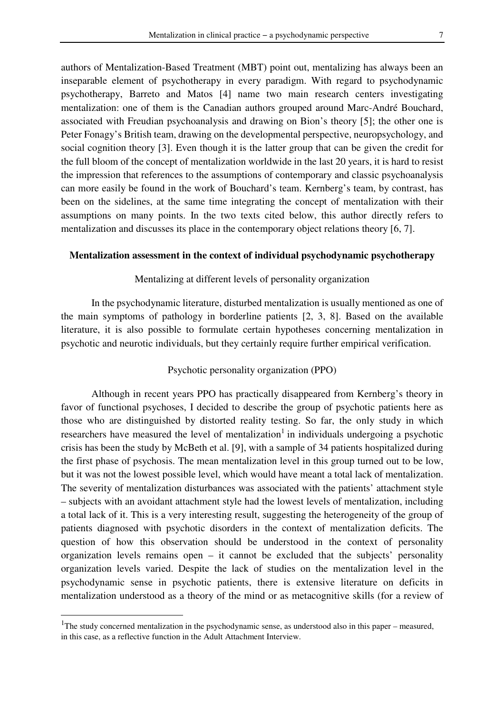authors of Mentalization-Based Treatment (MBT) point out, mentalizing has always been an inseparable element of psychotherapy in every paradigm. With regard to psychodynamic psychotherapy, Barreto and Matos [4] name two main research centers investigating mentalization: one of them is the Canadian authors grouped around Marc-André Bouchard, associated with Freudian psychoanalysis and drawing on Bion's theory [5]; the other one is Peter Fonagy's British team, drawing on the developmental perspective, neuropsychology, and social cognition theory [3]. Even though it is the latter group that can be given the credit for the full bloom of the concept of mentalization worldwide in the last 20 years, it is hard to resist the impression that references to the assumptions of contemporary and classic psychoanalysis can more easily be found in the work of Bouchard's team. Kernberg's team, by contrast, has been on the sidelines, at the same time integrating the concept of mentalization with their assumptions on many points. In the two texts cited below, this author directly refers to mentalization and discusses its place in the contemporary object relations theory [6, 7].

## **Mentalization assessment in the context of individual psychodynamic psychotherapy**

#### Mentalizing at different levels of personality organization

In the psychodynamic literature, disturbed mentalization is usually mentioned as one of the main symptoms of pathology in borderline patients [2, 3, 8]. Based on the available literature, it is also possible to formulate certain hypotheses concerning mentalization in psychotic and neurotic individuals, but they certainly require further empirical verification.

## Psychotic personality organization (PPO)

Although in recent years PPO has practically disappeared from Kernberg's theory in favor of functional psychoses, I decided to describe the group of psychotic patients here as those who are distinguished by distorted reality testing. So far, the only study in which researchers have measured the level of mentalization<sup>1</sup> in individuals undergoing a psychotic crisis has been the study by McBeth et al. [9], with a sample of 34 patients hospitalized during the first phase of psychosis. The mean mentalization level in this group turned out to be low, but it was not the lowest possible level, which would have meant a total lack of mentalization. The severity of mentalization disturbances was associated with the patients' attachment style – subjects with an avoidant attachment style had the lowest levels of mentalization, including a total lack of it. This is a very interesting result, suggesting the heterogeneity of the group of patients diagnosed with psychotic disorders in the context of mentalization deficits. The question of how this observation should be understood in the context of personality organization levels remains open – it cannot be excluded that the subjects' personality organization levels varied. Despite the lack of studies on the mentalization level in the psychodynamic sense in psychotic patients, there is extensive literature on deficits in mentalization understood as a theory of the mind or as metacognitive skills (for a review of

 $\overline{a}$ 

<sup>&</sup>lt;sup>1</sup>The study concerned mentalization in the psychodynamic sense, as understood also in this paper – measured, in this case, as a reflective function in the Adult Attachment Interview.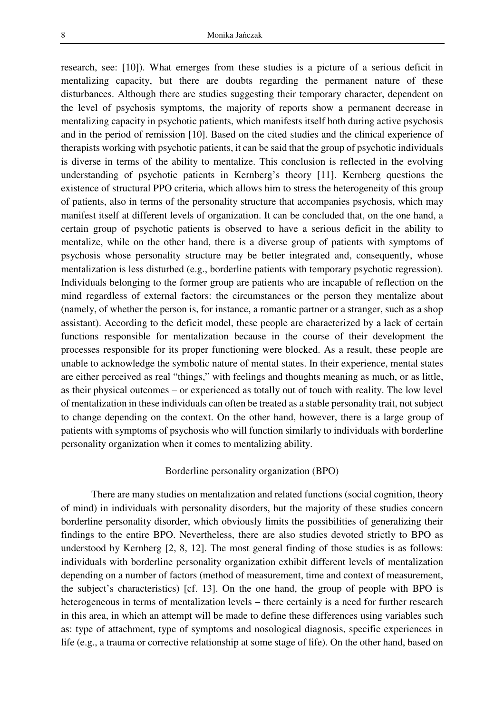research, see: [10]). What emerges from these studies is a picture of a serious deficit in mentalizing capacity, but there are doubts regarding the permanent nature of these disturbances. Although there are studies suggesting their temporary character, dependent on the level of psychosis symptoms, the majority of reports show a permanent decrease in mentalizing capacity in psychotic patients, which manifests itself both during active psychosis and in the period of remission [10]. Based on the cited studies and the clinical experience of therapists working with psychotic patients, it can be said that the group of psychotic individuals is diverse in terms of the ability to mentalize. This conclusion is reflected in the evolving understanding of psychotic patients in Kernberg's theory [11]. Kernberg questions the existence of structural PPO criteria, which allows him to stress the heterogeneity of this group of patients, also in terms of the personality structure that accompanies psychosis, which may manifest itself at different levels of organization. It can be concluded that, on the one hand, a certain group of psychotic patients is observed to have a serious deficit in the ability to mentalize, while on the other hand, there is a diverse group of patients with symptoms of psychosis whose personality structure may be better integrated and, consequently, whose mentalization is less disturbed (e.g., borderline patients with temporary psychotic regression). Individuals belonging to the former group are patients who are incapable of reflection on the mind regardless of external factors: the circumstances or the person they mentalize about (namely, of whether the person is, for instance, a romantic partner or a stranger, such as a shop assistant). According to the deficit model, these people are characterized by a lack of certain functions responsible for mentalization because in the course of their development the processes responsible for its proper functioning were blocked. As a result, these people are unable to acknowledge the symbolic nature of mental states. In their experience, mental states are either perceived as real "things," with feelings and thoughts meaning as much, or as little, as their physical outcomes – or experienced as totally out of touch with reality. The low level of mentalization in these individuals can often be treated as a stable personality trait, not subject to change depending on the context. On the other hand, however, there is a large group of patients with symptoms of psychosis who will function similarly to individuals with borderline personality organization when it comes to mentalizing ability.

#### Borderline personality organization (BPO)

There are many studies on mentalization and related functions (social cognition, theory of mind) in individuals with personality disorders, but the majority of these studies concern borderline personality disorder, which obviously limits the possibilities of generalizing their findings to the entire BPO. Nevertheless, there are also studies devoted strictly to BPO as understood by Kernberg [2, 8, 12]. The most general finding of those studies is as follows: individuals with borderline personality organization exhibit different levels of mentalization depending on a number of factors (method of measurement, time and context of measurement, the subject's characteristics) [cf. 13]. On the one hand, the group of people with BPO is heterogeneous in terms of mentalization levels – there certainly is a need for further research in this area, in which an attempt will be made to define these differences using variables such as: type of attachment, type of symptoms and nosological diagnosis, specific experiences in life (e.g., a trauma or corrective relationship at some stage of life). On the other hand, based on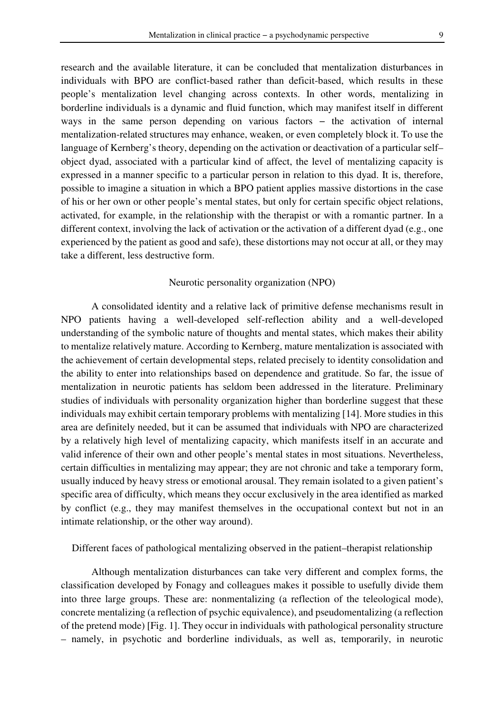research and the available literature, it can be concluded that mentalization disturbances in individuals with BPO are conflict-based rather than deficit-based, which results in these people's mentalization level changing across contexts. In other words, mentalizing in borderline individuals is a dynamic and fluid function, which may manifest itself in different ways in the same person depending on various factors – the activation of internal mentalization-related structures may enhance, weaken, or even completely block it. To use the language of Kernberg's theory, depending on the activation or deactivation of a particular self– object dyad, associated with a particular kind of affect, the level of mentalizing capacity is expressed in a manner specific to a particular person in relation to this dyad. It is, therefore, possible to imagine a situation in which a BPO patient applies massive distortions in the case of his or her own or other people's mental states, but only for certain specific object relations, activated, for example, in the relationship with the therapist or with a romantic partner. In a different context, involving the lack of activation or the activation of a different dyad (e.g., one experienced by the patient as good and safe), these distortions may not occur at all, or they may take a different, less destructive form.

## Neurotic personality organization (NPO)

A consolidated identity and a relative lack of primitive defense mechanisms result in NPO patients having a well-developed self-reflection ability and a well-developed understanding of the symbolic nature of thoughts and mental states, which makes their ability to mentalize relatively mature. According to Kernberg, mature mentalization is associated with the achievement of certain developmental steps, related precisely to identity consolidation and the ability to enter into relationships based on dependence and gratitude. So far, the issue of mentalization in neurotic patients has seldom been addressed in the literature. Preliminary studies of individuals with personality organization higher than borderline suggest that these individuals may exhibit certain temporary problems with mentalizing [14]. More studies in this area are definitely needed, but it can be assumed that individuals with NPO are characterized by a relatively high level of mentalizing capacity, which manifests itself in an accurate and valid inference of their own and other people's mental states in most situations. Nevertheless, certain difficulties in mentalizing may appear; they are not chronic and take a temporary form, usually induced by heavy stress or emotional arousal. They remain isolated to a given patient's specific area of difficulty, which means they occur exclusively in the area identified as marked by conflict (e.g., they may manifest themselves in the occupational context but not in an intimate relationship, or the other way around).

## Different faces of pathological mentalizing observed in the patient–therapist relationship

Although mentalization disturbances can take very different and complex forms, the classification developed by Fonagy and colleagues makes it possible to usefully divide them into three large groups. These are: nonmentalizing (a reflection of the teleological mode), concrete mentalizing (a reflection of psychic equivalence), and pseudomentalizing (a reflection of the pretend mode) [Fig. 1]. They occur in individuals with pathological personality structure – namely, in psychotic and borderline individuals, as well as, temporarily, in neurotic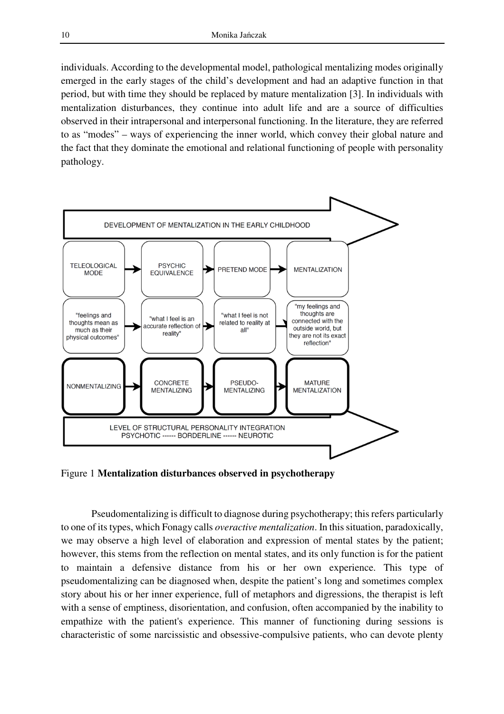individuals. According to the developmental model, pathological mentalizing modes originally emerged in the early stages of the child's development and had an adaptive function in that period, but with time they should be replaced by mature mentalization [3]. In individuals with mentalization disturbances, they continue into adult life and are a source of difficulties observed in their intrapersonal and interpersonal functioning. In the literature, they are referred to as "modes" – ways of experiencing the inner world, which convey their global nature and the fact that they dominate the emotional and relational functioning of people with personality pathology.



Figure 1 **Mentalization disturbances observed in psychotherapy**

Pseudomentalizing is difficult to diagnose during psychotherapy; this refers particularly to one of its types, which Fonagy calls *overactive mentalization*. In this situation, paradoxically, we may observe a high level of elaboration and expression of mental states by the patient; however, this stems from the reflection on mental states, and its only function is for the patient to maintain a defensive distance from his or her own experience. This type of pseudomentalizing can be diagnosed when, despite the patient's long and sometimes complex story about his or her inner experience, full of metaphors and digressions, the therapist is left with a sense of emptiness, disorientation, and confusion, often accompanied by the inability to empathize with the patient's experience. This manner of functioning during sessions is characteristic of some narcissistic and obsessive-compulsive patients, who can devote plenty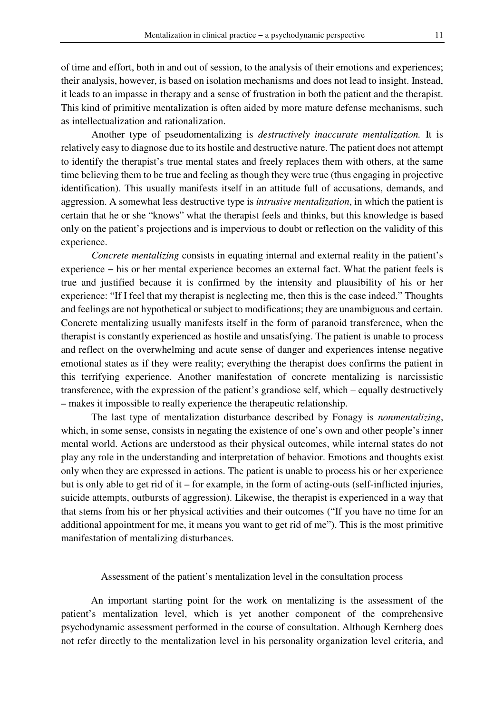of time and effort, both in and out of session, to the analysis of their emotions and experiences; their analysis, however, is based on isolation mechanisms and does not lead to insight. Instead, it leads to an impasse in therapy and a sense of frustration in both the patient and the therapist. This kind of primitive mentalization is often aided by more mature defense mechanisms, such as intellectualization and rationalization.

Another type of pseudomentalizing is *destructively inaccurate mentalization.* It is relatively easy to diagnose due to its hostile and destructive nature. The patient does not attempt to identify the therapist's true mental states and freely replaces them with others, at the same time believing them to be true and feeling as though they were true (thus engaging in projective identification). This usually manifests itself in an attitude full of accusations, demands, and aggression. A somewhat less destructive type is *intrusive mentalization*, in which the patient is certain that he or she "knows" what the therapist feels and thinks, but this knowledge is based only on the patient's projections and is impervious to doubt or reflection on the validity of this experience.

*Concrete mentalizing* consists in equating internal and external reality in the patient's experience − his or her mental experience becomes an external fact. What the patient feels is true and justified because it is confirmed by the intensity and plausibility of his or her experience: "If I feel that my therapist is neglecting me, then this is the case indeed." Thoughts and feelings are not hypothetical or subject to modifications; they are unambiguous and certain. Concrete mentalizing usually manifests itself in the form of paranoid transference, when the therapist is constantly experienced as hostile and unsatisfying. The patient is unable to process and reflect on the overwhelming and acute sense of danger and experiences intense negative emotional states as if they were reality; everything the therapist does confirms the patient in this terrifying experience. Another manifestation of concrete mentalizing is narcissistic transference, with the expression of the patient's grandiose self, which – equally destructively – makes it impossible to really experience the therapeutic relationship.

The last type of mentalization disturbance described by Fonagy is *nonmentalizing*, which, in some sense, consists in negating the existence of one's own and other people's inner mental world. Actions are understood as their physical outcomes, while internal states do not play any role in the understanding and interpretation of behavior. Emotions and thoughts exist only when they are expressed in actions. The patient is unable to process his or her experience but is only able to get rid of it – for example, in the form of acting-outs (self-inflicted injuries, suicide attempts, outbursts of aggression). Likewise, the therapist is experienced in a way that that stems from his or her physical activities and their outcomes ("If you have no time for an additional appointment for me, it means you want to get rid of me"). This is the most primitive manifestation of mentalizing disturbances.

#### Assessment of the patient's mentalization level in the consultation process

An important starting point for the work on mentalizing is the assessment of the patient's mentalization level, which is yet another component of the comprehensive psychodynamic assessment performed in the course of consultation. Although Kernberg does not refer directly to the mentalization level in his personality organization level criteria, and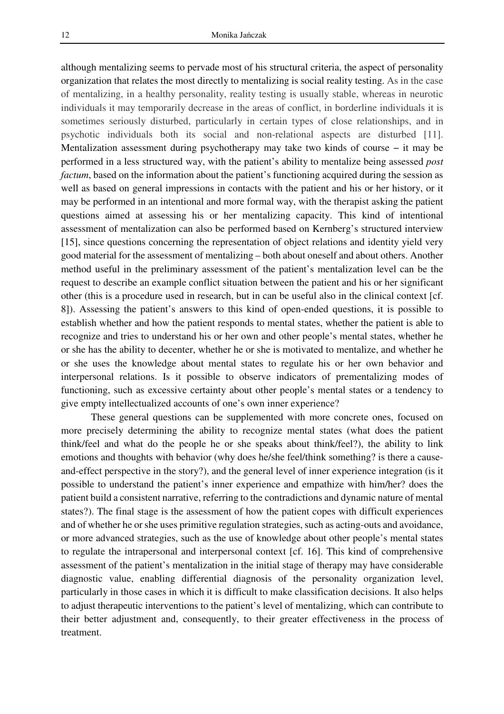although mentalizing seems to pervade most of his structural criteria, the aspect of personality organization that relates the most directly to mentalizing is social reality testing. As in the case of mentalizing, in a healthy personality, reality testing is usually stable, whereas in neurotic individuals it may temporarily decrease in the areas of conflict, in borderline individuals it is sometimes seriously disturbed, particularly in certain types of close relationships, and in psychotic individuals both its social and non-relational aspects are disturbed [11]. Mentalization assessment during psychotherapy may take two kinds of course − it may be performed in a less structured way, with the patient's ability to mentalize being assessed *post factum*, based on the information about the patient's functioning acquired during the session as well as based on general impressions in contacts with the patient and his or her history, or it may be performed in an intentional and more formal way, with the therapist asking the patient questions aimed at assessing his or her mentalizing capacity. This kind of intentional assessment of mentalization can also be performed based on Kernberg's structured interview [15], since questions concerning the representation of object relations and identity yield very good material for the assessment of mentalizing – both about oneself and about others. Another method useful in the preliminary assessment of the patient's mentalization level can be the request to describe an example conflict situation between the patient and his or her significant other (this is a procedure used in research, but in can be useful also in the clinical context [cf. 8]). Assessing the patient's answers to this kind of open-ended questions, it is possible to establish whether and how the patient responds to mental states, whether the patient is able to recognize and tries to understand his or her own and other people's mental states, whether he or she has the ability to decenter, whether he or she is motivated to mentalize, and whether he or she uses the knowledge about mental states to regulate his or her own behavior and interpersonal relations. Is it possible to observe indicators of prementalizing modes of functioning, such as excessive certainty about other people's mental states or a tendency to give empty intellectualized accounts of one's own inner experience?

These general questions can be supplemented with more concrete ones, focused on more precisely determining the ability to recognize mental states (what does the patient think/feel and what do the people he or she speaks about think/feel?), the ability to link emotions and thoughts with behavior (why does he/she feel/think something? is there a causeand-effect perspective in the story?), and the general level of inner experience integration (is it possible to understand the patient's inner experience and empathize with him/her? does the patient build a consistent narrative, referring to the contradictions and dynamic nature of mental states?). The final stage is the assessment of how the patient copes with difficult experiences and of whether he or she uses primitive regulation strategies, such as acting-outs and avoidance, or more advanced strategies, such as the use of knowledge about other people's mental states to regulate the intrapersonal and interpersonal context [cf. 16]. This kind of comprehensive assessment of the patient's mentalization in the initial stage of therapy may have considerable diagnostic value, enabling differential diagnosis of the personality organization level, particularly in those cases in which it is difficult to make classification decisions. It also helps to adjust therapeutic interventions to the patient's level of mentalizing, which can contribute to their better adjustment and, consequently, to their greater effectiveness in the process of treatment.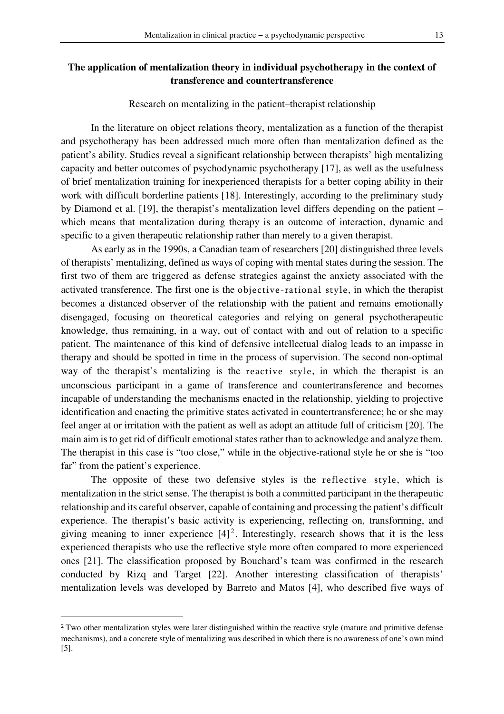# **The application of mentalization theory in individual psychotherapy in the context of transference and countertransference**

Research on mentalizing in the patient–therapist relationship

In the literature on object relations theory, mentalization as a function of the therapist and psychotherapy has been addressed much more often than mentalization defined as the patient's ability. Studies reveal a significant relationship between therapists' high mentalizing capacity and better outcomes of psychodynamic psychotherapy [17], as well as the usefulness of brief mentalization training for inexperienced therapists for a better coping ability in their work with difficult borderline patients [18]. Interestingly, according to the preliminary study by Diamond et al. [19], the therapist's mentalization level differs depending on the patient – which means that mentalization during therapy is an outcome of interaction, dynamic and specific to a given therapeutic relationship rather than merely to a given therapist.

As early as in the 1990s, a Canadian team of researchers [20] distinguished three levels of therapists' mentalizing, defined as ways of coping with mental states during the session. The first two of them are triggered as defense strategies against the anxiety associated with the activated transference. The first one is the objective-rational style, in which the therapist becomes a distanced observer of the relationship with the patient and remains emotionally disengaged, focusing on theoretical categories and relying on general psychotherapeutic knowledge, thus remaining, in a way, out of contact with and out of relation to a specific patient. The maintenance of this kind of defensive intellectual dialog leads to an impasse in therapy and should be spotted in time in the process of supervision. The second non-optimal way of the therapist's mentalizing is the reactive style, in which the therapist is an unconscious participant in a game of transference and countertransference and becomes incapable of understanding the mechanisms enacted in the relationship, yielding to projective identification and enacting the primitive states activated in countertransference; he or she may feel anger at or irritation with the patient as well as adopt an attitude full of criticism [20]. The main aim is to get rid of difficult emotional states rather than to acknowledge and analyze them. The therapist in this case is "too close," while in the objective-rational style he or she is "too far" from the patient's experience.

The opposite of these two defensive styles is the reflective style, which is mentalization in the strict sense. The therapist is both a committed participant in the therapeutic relationship and its careful observer, capable of containing and processing the patient's difficult experience. The therapist's basic activity is experiencing, reflecting on, transforming, and giving meaning to inner experience  $[4]^2$ . Interestingly, research shows that it is the less experienced therapists who use the reflective style more often compared to more experienced ones [21]. The classification proposed by Bouchard's team was confirmed in the research conducted by Rizq and Target [22]. Another interesting classification of therapists' mentalization levels was developed by Barreto and Matos [4], who described five ways of

 $\overline{a}$ 

<sup>&</sup>lt;sup>2</sup> Two other mentalization styles were later distinguished within the reactive style (mature and primitive defense mechanisms), and a concrete style of mentalizing was described in which there is no awareness of one's own mind [5].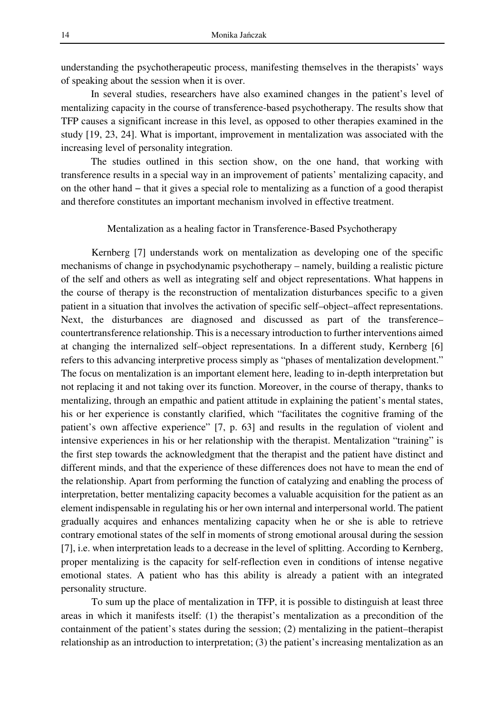understanding the psychotherapeutic process, manifesting themselves in the therapists' ways of speaking about the session when it is over.

In several studies, researchers have also examined changes in the patient's level of mentalizing capacity in the course of transference-based psychotherapy. The results show that TFP causes a significant increase in this level, as opposed to other therapies examined in the study [19, 23, 24]. What is important, improvement in mentalization was associated with the increasing level of personality integration.

The studies outlined in this section show, on the one hand, that working with transference results in a special way in an improvement of patients' mentalizing capacity, and on the other hand − that it gives a special role to mentalizing as a function of a good therapist and therefore constitutes an important mechanism involved in effective treatment.

#### Mentalization as a healing factor in Transference-Based Psychotherapy

Kernberg [7] understands work on mentalization as developing one of the specific mechanisms of change in psychodynamic psychotherapy – namely, building a realistic picture of the self and others as well as integrating self and object representations. What happens in the course of therapy is the reconstruction of mentalization disturbances specific to a given patient in a situation that involves the activation of specific self–object–affect representations. Next, the disturbances are diagnosed and discussed as part of the transference– countertransference relationship. This is a necessary introduction to further interventions aimed at changing the internalized self–object representations. In a different study, Kernberg [6] refers to this advancing interpretive process simply as "phases of mentalization development." The focus on mentalization is an important element here, leading to in-depth interpretation but not replacing it and not taking over its function. Moreover, in the course of therapy, thanks to mentalizing, through an empathic and patient attitude in explaining the patient's mental states, his or her experience is constantly clarified, which "facilitates the cognitive framing of the patient's own affective experience" [7, p. 63] and results in the regulation of violent and intensive experiences in his or her relationship with the therapist. Mentalization "training" is the first step towards the acknowledgment that the therapist and the patient have distinct and different minds, and that the experience of these differences does not have to mean the end of the relationship. Apart from performing the function of catalyzing and enabling the process of interpretation, better mentalizing capacity becomes a valuable acquisition for the patient as an element indispensable in regulating his or her own internal and interpersonal world. The patient gradually acquires and enhances mentalizing capacity when he or she is able to retrieve contrary emotional states of the self in moments of strong emotional arousal during the session [7], i.e. when interpretation leads to a decrease in the level of splitting. According to Kernberg, proper mentalizing is the capacity for self-reflection even in conditions of intense negative emotional states. A patient who has this ability is already a patient with an integrated personality structure.

To sum up the place of mentalization in TFP, it is possible to distinguish at least three areas in which it manifests itself: (1) the therapist's mentalization as a precondition of the containment of the patient's states during the session; (2) mentalizing in the patient–therapist relationship as an introduction to interpretation; (3) the patient's increasing mentalization as an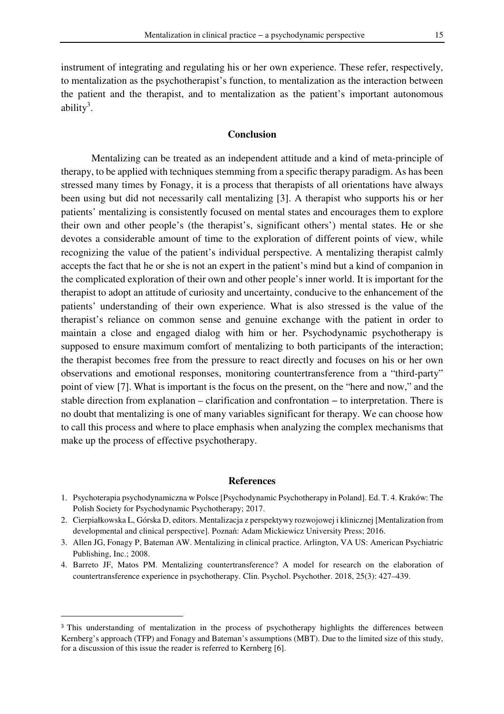instrument of integrating and regulating his or her own experience. These refer, respectively, to mentalization as the psychotherapist's function, to mentalization as the interaction between the patient and the therapist, and to mentalization as the patient's important autonomous ability<sup>3</sup>.

## **Conclusion**

Mentalizing can be treated as an independent attitude and a kind of meta-principle of therapy, to be applied with techniques stemming from a specific therapy paradigm. As has been stressed many times by Fonagy, it is a process that therapists of all orientations have always been using but did not necessarily call mentalizing [3]. A therapist who supports his or her patients' mentalizing is consistently focused on mental states and encourages them to explore their own and other people's (the therapist's, significant others') mental states. He or she devotes a considerable amount of time to the exploration of different points of view, while recognizing the value of the patient's individual perspective. A mentalizing therapist calmly accepts the fact that he or she is not an expert in the patient's mind but a kind of companion in the complicated exploration of their own and other people's inner world. It is important for the therapist to adopt an attitude of curiosity and uncertainty, conducive to the enhancement of the patients' understanding of their own experience. What is also stressed is the value of the therapist's reliance on common sense and genuine exchange with the patient in order to maintain a close and engaged dialog with him or her. Psychodynamic psychotherapy is supposed to ensure maximum comfort of mentalizing to both participants of the interaction; the therapist becomes free from the pressure to react directly and focuses on his or her own observations and emotional responses, monitoring countertransference from a "third-party" point of view [7]. What is important is the focus on the present, on the "here and now," and the stable direction from explanation – clarification and confrontation − to interpretation. There is no doubt that mentalizing is one of many variables significant for therapy. We can choose how to call this process and where to place emphasis when analyzing the complex mechanisms that make up the process of effective psychotherapy.

#### **References**

- 1. Psychoterapia psychodynamiczna w Polsce [Psychodynamic Psychotherapy in Poland]. Ed. T. 4. Kraków: The Polish Society for Psychodynamic Psychotherapy; 2017.
- 2. Cierpiałkowska L, Górska D, editors. Mentalizacja z perspektywy rozwojowej i klinicznej [Mentalization from developmental and clinical perspective]. Poznań: Adam Mickiewicz University Press; 2016.
- 3. Allen JG, Fonagy P, Bateman AW. Mentalizing in clinical practice. Arlington, VA US: American Psychiatric Publishing, Inc.; 2008.
- 4. Barreto JF, Matos PM. Mentalizing countertransference? A model for research on the elaboration of countertransference experience in psychotherapy. Clin. Psychol. Psychother. 2018, 25(3): 427–439.

 $\overline{a}$ 

<sup>3</sup> This understanding of mentalization in the process of psychotherapy highlights the differences between Kernberg's approach (TFP) and Fonagy and Bateman's assumptions (MBT). Due to the limited size of this study, for a discussion of this issue the reader is referred to Kernberg [6].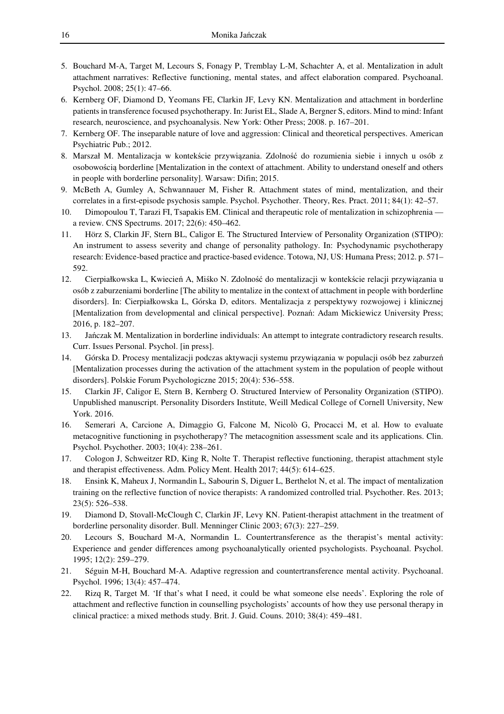- 5. Bouchard M-A, Target M, Lecours S, Fonagy P, Tremblay L-M, Schachter A, et al. Mentalization in adult attachment narratives: Reflective functioning, mental states, and affect elaboration compared. Psychoanal. Psychol. 2008; 25(1): 47–66.
- 6. Kernberg OF, Diamond D, Yeomans FE, Clarkin JF, Levy KN. Mentalization and attachment in borderline patients in transference focused psychotherapy. In: Jurist EL, Slade A, Bergner S, editors. Mind to mind: Infant research, neuroscience, and psychoanalysis. New York: Other Press; 2008. p. 167–201.
- 7. Kernberg OF. The inseparable nature of love and aggression: Clinical and theoretical perspectives. American Psychiatric Pub.; 2012.
- 8. Marszał M. Mentalizacja w kontekście przywiązania. Zdolność do rozumienia siebie i innych u osób z osobowością borderline [Mentalization in the context of attachment. Ability to understand oneself and others in people with borderline personality]. Warsaw: Difin; 2015.
- 9. McBeth A, Gumley A, Schwannauer M, Fisher R. Attachment states of mind, mentalization, and their correlates in a first-episode psychosis sample. Psychol. Psychother. Theory, Res. Pract. 2011; 84(1): 42–57.
- 10. Dimopoulou T, Tarazi FI, Tsapakis EM. Clinical and therapeutic role of mentalization in schizophrenia a review. CNS Spectrums. 2017; 22(6): 450–462.
- 11. Hörz S, Clarkin JF, Stern BL, Caligor E. The Structured Interview of Personality Organization (STIPO): An instrument to assess severity and change of personality pathology. In: Psychodynamic psychotherapy research: Evidence-based practice and practice-based evidence. Totowa, NJ, US: Humana Press; 2012. p. 571– 592.
- 12. Cierpiałkowska L, Kwiecień A, Miśko N. Zdolność do mentalizacji w kontekście relacji przywiązania u osób z zaburzeniami borderline [The ability to mentalize in the context of attachment in people with borderline disorders]. In: Cierpiałkowska L, Górska D, editors. Mentalizacja z perspektywy rozwojowej i klinicznej [Mentalization from developmental and clinical perspective]. Poznań: Adam Mickiewicz University Press; 2016, p. 182–207.
- 13. Jańczak M. Mentalization in borderline individuals: An attempt to integrate contradictory research results. Curr. Issues Personal. Psychol. [in press].
- 14. Górska D. Procesy mentalizacji podczas aktywacji systemu przywiązania w populacji osób bez zaburzeń [Mentalization processes during the activation of the attachment system in the population of people without disorders]. Polskie Forum Psychologiczne 2015; 20(4): 536–558.
- 15. Clarkin JF, Caligor E, Stern B, Kernberg O. Structured Interview of Personality Organization (STIPO). Unpublished manuscript. Personality Disorders Institute, Weill Medical College of Cornell University, New York. 2016.
- 16. Semerari A, Carcione A, Dimaggio G, Falcone M, Nicolò G, Procacci M, et al. How to evaluate metacognitive functioning in psychotherapy? The metacognition assessment scale and its applications. Clin. Psychol. Psychother. 2003; 10(4): 238–261.
- 17. Cologon J, Schweitzer RD, King R, Nolte T. Therapist reflective functioning, therapist attachment style and therapist effectiveness. Adm. Policy Ment. Health 2017; 44(5): 614–625.
- 18. Ensink K, Maheux J, Normandin L, Sabourin S, Diguer L, Berthelot N, et al. The impact of mentalization training on the reflective function of novice therapists: A randomized controlled trial. Psychother. Res. 2013; 23(5): 526–538.
- 19. Diamond D, Stovall-McClough C, Clarkin JF, Levy KN. Patient-therapist attachment in the treatment of borderline personality disorder. Bull. Menninger Clinic 2003; 67(3): 227–259.
- 20. Lecours S, Bouchard M-A, Normandin L. Countertransference as the therapist's mental activity: Experience and gender differences among psychoanalytically oriented psychologists. Psychoanal. Psychol. 1995; 12(2): 259–279.
- 21. Séguin M-H, Bouchard M-A. Adaptive regression and countertransference mental activity. Psychoanal. Psychol. 1996; 13(4): 457–474.
- 22. Rizq R, Target M. 'If that's what I need, it could be what someone else needs'. Exploring the role of attachment and reflective function in counselling psychologists' accounts of how they use personal therapy in clinical practice: a mixed methods study. Brit. J. Guid. Couns. 2010; 38(4): 459–481.